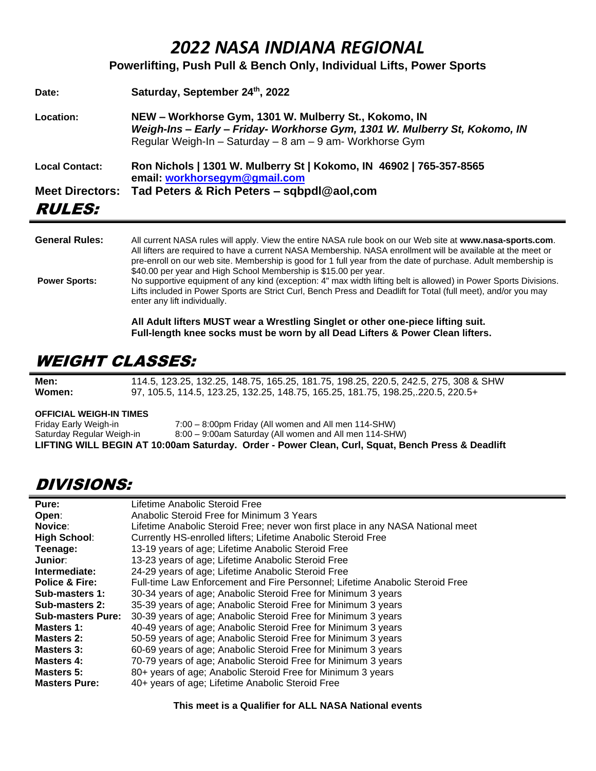## *2022 NASA INDIANA REGIONAL*

**Powerlifting, Push Pull & Bench Only, Individual Lifts, Power Sports**

| Date:                  | Saturday, September 24th, 2022                                                                                                                                                                  |
|------------------------|-------------------------------------------------------------------------------------------------------------------------------------------------------------------------------------------------|
| Location:              | NEW – Workhorse Gym, 1301 W. Mulberry St., Kokomo, IN<br>Weigh-Ins - Early - Friday- Workhorse Gym, 1301 W. Mulberry St, Kokomo, IN<br>Regular Weigh-In - Saturday - 8 am - 9 am- Workhorse Gym |
| <b>Local Contact:</b>  | Ron Nichols   1301 W. Mulberry St   Kokomo, IN 46902   765-357-8565<br>email: workhorsegym@gmail.com                                                                                            |
| <b>Meet Directors:</b> | Tad Peters & Rich Peters - sqbpdl@aol.com                                                                                                                                                       |
| <i><b>RULES:</b></i>   |                                                                                                                                                                                                 |
|                        |                                                                                                                                                                                                 |

| <b>General Rules:</b> | All current NASA rules will apply. View the entire NASA rule book on our Web site at www.nasa-sports.com.<br>All lifters are required to have a current NASA Membership. NASA enrollment will be available at the meet or<br>pre-enroll on our web site. Membership is good for 1 full year from the date of purchase. Adult membership is<br>\$40.00 per year and High School Membership is \$15.00 per year. |
|-----------------------|----------------------------------------------------------------------------------------------------------------------------------------------------------------------------------------------------------------------------------------------------------------------------------------------------------------------------------------------------------------------------------------------------------------|
| <b>Power Sports:</b>  | No supportive equipment of any kind (exception: 4" max width lifting belt is allowed) in Power Sports Divisions.<br>Lifts included in Power Sports are Strict Curl, Bench Press and Deadlift for Total (full meet), and/or you may<br>enter any lift individually.                                                                                                                                             |
|                       |                                                                                                                                                                                                                                                                                                                                                                                                                |

**All Adult lifters MUST wear a Wrestling Singlet or other one-piece lifting suit. Full-length knee socks must be worn by all Dead Lifters & Power Clean lifters.**

## WEIGHT CLASSES:

**Men:** 114.5, 123.25, 132.25, 148.75, 165.25, 181.75, 198.25, 220.5, 242.5, 275, 308 & SHW<br>**Women:** 97, 105.5, 114.5, 123.25, 132.25, 148.75, 165.25, 181.75, 198.25, 220.5, 220.5+ **Women:** 97, 105.5, 114.5, 123.25, 132.25, 148.75, 165.25, 181.75, 198.25,.220.5, 220.5+

**OFFICIAL WEIGH-IN TIMES**

Friday Early Weigh-in 7:00 – 8:00pm Friday (All women and All men 114-SHW) Saturday Regular Weigh-in 8:00 – 9:00am Saturday (All women and All men 114-SHW) **LIFTING WILL BEGIN AT 10:00am Saturday. Order - Power Clean, Curl, Squat, Bench Press & Deadlift**

### DIVISIONS:

| Pure:                     | Lifetime Anabolic Steroid Free                                                  |  |  |  |
|---------------------------|---------------------------------------------------------------------------------|--|--|--|
| Open:                     | Anabolic Steroid Free for Minimum 3 Years                                       |  |  |  |
| Novice:                   | Lifetime Anabolic Steroid Free; never won first place in any NASA National meet |  |  |  |
| <b>High School:</b>       | Currently HS-enrolled lifters; Lifetime Anabolic Steroid Free                   |  |  |  |
| Teenage:                  | 13-19 years of age; Lifetime Anabolic Steroid Free                              |  |  |  |
| Junior:                   | 13-23 years of age; Lifetime Anabolic Steroid Free                              |  |  |  |
| Intermediate:             | 24-29 years of age; Lifetime Anabolic Steroid Free                              |  |  |  |
| <b>Police &amp; Fire:</b> | Full-time Law Enforcement and Fire Personnel; Lifetime Anabolic Steroid Free    |  |  |  |
| Sub-masters 1:            | 30-34 years of age; Anabolic Steroid Free for Minimum 3 years                   |  |  |  |
| Sub-masters 2:            | 35-39 years of age; Anabolic Steroid Free for Minimum 3 years                   |  |  |  |
| <b>Sub-masters Pure:</b>  | 30-39 years of age; Anabolic Steroid Free for Minimum 3 years                   |  |  |  |
| Masters 1:                | 40-49 years of age; Anabolic Steroid Free for Minimum 3 years                   |  |  |  |
| Masters 2:                | 50-59 years of age; Anabolic Steroid Free for Minimum 3 years                   |  |  |  |
| Masters 3:                | 60-69 years of age; Anabolic Steroid Free for Minimum 3 years                   |  |  |  |
| <b>Masters 4:</b>         | 70-79 years of age; Anabolic Steroid Free for Minimum 3 years                   |  |  |  |
| <b>Masters 5:</b>         | 80+ years of age; Anabolic Steroid Free for Minimum 3 years                     |  |  |  |
| <b>Masters Pure:</b>      | 40+ years of age; Lifetime Anabolic Steroid Free                                |  |  |  |

**This meet is a Qualifier for ALL NASA National events**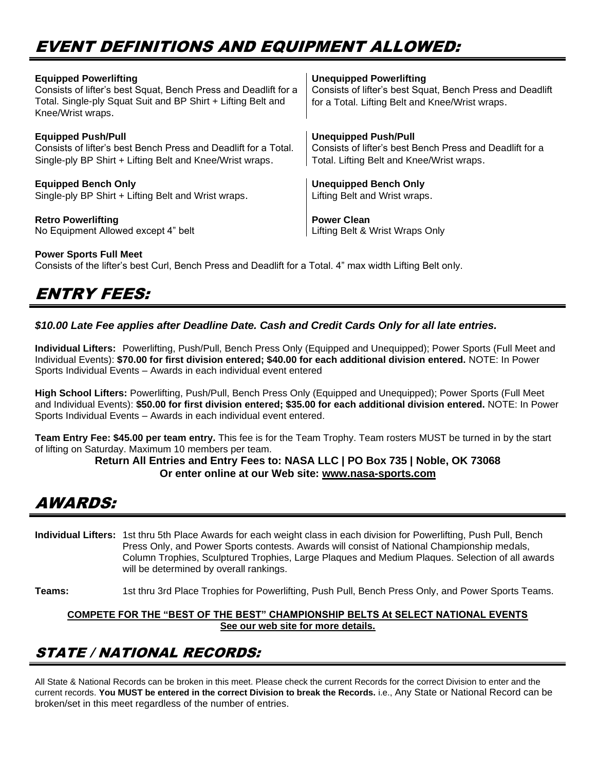# EVENT DEFINITIONS AND EQUIPMENT ALLOWED:

| <b>Equipped Powerlifting</b><br>Consists of lifter's best Squat, Bench Press and Deadlift for a<br>Total. Single-ply Squat Suit and BP Shirt + Lifting Belt and<br>Knee/Wrist wraps. | <b>Unequipped Powerlifting</b><br>Consists of lifter's best Squat, Bench Press and Deadlift<br>for a Total. Lifting Belt and Knee/Wrist wraps. |
|--------------------------------------------------------------------------------------------------------------------------------------------------------------------------------------|------------------------------------------------------------------------------------------------------------------------------------------------|
| <b>Equipped Push/Pull</b>                                                                                                                                                            | <b>Unequipped Push/Pull</b>                                                                                                                    |
| Consists of lifter's best Bench Press and Deadlift for a Total.                                                                                                                      | Consists of lifter's best Bench Press and Deadlift for a                                                                                       |
| Single-ply BP Shirt + Lifting Belt and Knee/Wrist wraps.                                                                                                                             | Total. Lifting Belt and Knee/Wrist wraps.                                                                                                      |
| <b>Equipped Bench Only</b>                                                                                                                                                           | <b>Unequipped Bench Only</b>                                                                                                                   |
| Single-ply BP Shirt + Lifting Belt and Wrist wraps.                                                                                                                                  | Lifting Belt and Wrist wraps.                                                                                                                  |
| <b>Retro Powerlifting</b>                                                                                                                                                            | <b>Power Clean</b>                                                                                                                             |
| No Equipment Allowed except 4" belt                                                                                                                                                  | Lifting Belt & Wrist Wraps Only                                                                                                                |

#### **Power Sports Full Meet**

Consists of the lifter's best Curl, Bench Press and Deadlift for a Total. 4" max width Lifting Belt only.

## ENTRY FEES:

#### *\$10.00 Late Fee applies after Deadline Date. Cash and Credit Cards Only for all late entries.*

**Individual Lifters:** Powerlifting, Push/Pull, Bench Press Only (Equipped and Unequipped); Power Sports (Full Meet and Individual Events): **\$70.00 for first division entered; \$40.00 for each additional division entered.** NOTE: In Power Sports Individual Events – Awards in each individual event entered

**High School Lifters:** Powerlifting, Push/Pull, Bench Press Only (Equipped and Unequipped); Power Sports (Full Meet and Individual Events): **\$50.00 for first division entered; \$35.00 for each additional division entered.** NOTE: In Power Sports Individual Events – Awards in each individual event entered.

**Team Entry Fee: \$45.00 per team entry.** This fee is for the Team Trophy. Team rosters MUST be turned in by the start of lifting on Saturday. Maximum 10 members per team.

#### **Return All Entries and Entry Fees to: NASA LLC | PO Box 735 | Noble, OK 73068 Or enter online at our Web site: [www.nasa-sports.com](http://www.nasa-sports.com/)**

### AWARDS:

**Individual Lifters:** 1st thru 5th Place Awards for each weight class in each division for Powerlifting, Push Pull, Bench Press Only, and Power Sports contests. Awards will consist of National Championship medals, Column Trophies, Sculptured Trophies, Large Plaques and Medium Plaques. Selection of all awards will be determined by overall rankings.

**Teams:** 1st thru 3rd Place Trophies for Powerlifting, Push Pull, Bench Press Only, and Power Sports Teams.

#### **COMPETE FOR THE "BEST OF THE BEST" CHAMPIONSHIP BELTS At SELECT NATIONAL EVENTS See our web site for more details.**

### STATE / NATIONAL RECORDS:

All State & National Records can be broken in this meet. Please check the current Records for the correct Division to enter and the current records. **You MUST be entered in the correct Division to break the Records.** i.e., Any State or National Record can be broken/set in this meet regardless of the number of entries.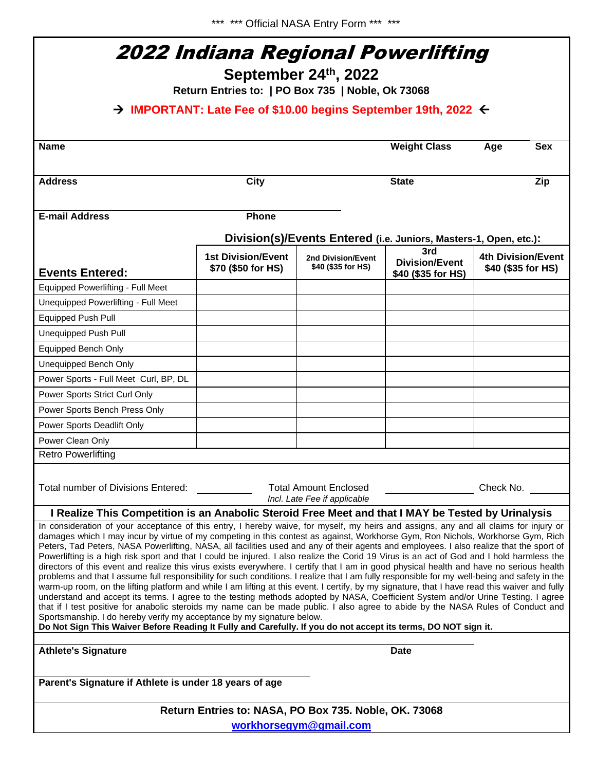\*\*\* \*\*\* Official NASA Entry Form \*\*\* \*\*\*

| 2022 Indiana Regional Powerlifting<br>September 24th, 2022<br>Return Entries to:   PO Box 735   Noble, Ok 73068<br>$\rightarrow$ IMPORTANT: Late Fee of \$10.00 begins September 19th, 2022 $\leftarrow$                                                                                                                                                                                                                                                                                                                                                                                                                                                                                                                                                                                                                                                                                                                                                                                                                                                                                                                                                                                                                                                                                                                                                                                                                                                                              |                                                 |                                          |                                                                   |                                          |  |  |  |
|---------------------------------------------------------------------------------------------------------------------------------------------------------------------------------------------------------------------------------------------------------------------------------------------------------------------------------------------------------------------------------------------------------------------------------------------------------------------------------------------------------------------------------------------------------------------------------------------------------------------------------------------------------------------------------------------------------------------------------------------------------------------------------------------------------------------------------------------------------------------------------------------------------------------------------------------------------------------------------------------------------------------------------------------------------------------------------------------------------------------------------------------------------------------------------------------------------------------------------------------------------------------------------------------------------------------------------------------------------------------------------------------------------------------------------------------------------------------------------------|-------------------------------------------------|------------------------------------------|-------------------------------------------------------------------|------------------------------------------|--|--|--|
|                                                                                                                                                                                                                                                                                                                                                                                                                                                                                                                                                                                                                                                                                                                                                                                                                                                                                                                                                                                                                                                                                                                                                                                                                                                                                                                                                                                                                                                                                       |                                                 |                                          |                                                                   |                                          |  |  |  |
| <b>Address</b>                                                                                                                                                                                                                                                                                                                                                                                                                                                                                                                                                                                                                                                                                                                                                                                                                                                                                                                                                                                                                                                                                                                                                                                                                                                                                                                                                                                                                                                                        | <b>City</b>                                     |                                          | <b>State</b>                                                      | Zip                                      |  |  |  |
| <b>E-mail Address</b>                                                                                                                                                                                                                                                                                                                                                                                                                                                                                                                                                                                                                                                                                                                                                                                                                                                                                                                                                                                                                                                                                                                                                                                                                                                                                                                                                                                                                                                                 | <b>Phone</b>                                    |                                          |                                                                   |                                          |  |  |  |
|                                                                                                                                                                                                                                                                                                                                                                                                                                                                                                                                                                                                                                                                                                                                                                                                                                                                                                                                                                                                                                                                                                                                                                                                                                                                                                                                                                                                                                                                                       |                                                 |                                          | Division(s)/Events Entered (i.e. Juniors, Masters-1, Open, etc.): |                                          |  |  |  |
| <b>Events Entered:</b>                                                                                                                                                                                                                                                                                                                                                                                                                                                                                                                                                                                                                                                                                                                                                                                                                                                                                                                                                                                                                                                                                                                                                                                                                                                                                                                                                                                                                                                                | <b>1st Division/Event</b><br>\$70 (\$50 for HS) | 2nd Division/Event<br>\$40 (\$35 for HS) | 3rd<br><b>Division/Event</b><br>\$40 (\$35 for HS)                | 4th Division/Event<br>\$40 (\$35 for HS) |  |  |  |
| <b>Equipped Powerlifting - Full Meet</b>                                                                                                                                                                                                                                                                                                                                                                                                                                                                                                                                                                                                                                                                                                                                                                                                                                                                                                                                                                                                                                                                                                                                                                                                                                                                                                                                                                                                                                              |                                                 |                                          |                                                                   |                                          |  |  |  |
| Unequipped Powerlifting - Full Meet                                                                                                                                                                                                                                                                                                                                                                                                                                                                                                                                                                                                                                                                                                                                                                                                                                                                                                                                                                                                                                                                                                                                                                                                                                                                                                                                                                                                                                                   |                                                 |                                          |                                                                   |                                          |  |  |  |
| <b>Equipped Push Pull</b>                                                                                                                                                                                                                                                                                                                                                                                                                                                                                                                                                                                                                                                                                                                                                                                                                                                                                                                                                                                                                                                                                                                                                                                                                                                                                                                                                                                                                                                             |                                                 |                                          |                                                                   |                                          |  |  |  |
| Unequipped Push Pull                                                                                                                                                                                                                                                                                                                                                                                                                                                                                                                                                                                                                                                                                                                                                                                                                                                                                                                                                                                                                                                                                                                                                                                                                                                                                                                                                                                                                                                                  |                                                 |                                          |                                                                   |                                          |  |  |  |
| <b>Equipped Bench Only</b>                                                                                                                                                                                                                                                                                                                                                                                                                                                                                                                                                                                                                                                                                                                                                                                                                                                                                                                                                                                                                                                                                                                                                                                                                                                                                                                                                                                                                                                            |                                                 |                                          |                                                                   |                                          |  |  |  |
| Unequipped Bench Only                                                                                                                                                                                                                                                                                                                                                                                                                                                                                                                                                                                                                                                                                                                                                                                                                                                                                                                                                                                                                                                                                                                                                                                                                                                                                                                                                                                                                                                                 |                                                 |                                          |                                                                   |                                          |  |  |  |
| Power Sports - Full Meet Curl, BP, DL                                                                                                                                                                                                                                                                                                                                                                                                                                                                                                                                                                                                                                                                                                                                                                                                                                                                                                                                                                                                                                                                                                                                                                                                                                                                                                                                                                                                                                                 |                                                 |                                          |                                                                   |                                          |  |  |  |
| Power Sports Strict Curl Only                                                                                                                                                                                                                                                                                                                                                                                                                                                                                                                                                                                                                                                                                                                                                                                                                                                                                                                                                                                                                                                                                                                                                                                                                                                                                                                                                                                                                                                         |                                                 |                                          |                                                                   |                                          |  |  |  |
| Power Sports Bench Press Only                                                                                                                                                                                                                                                                                                                                                                                                                                                                                                                                                                                                                                                                                                                                                                                                                                                                                                                                                                                                                                                                                                                                                                                                                                                                                                                                                                                                                                                         |                                                 |                                          |                                                                   |                                          |  |  |  |
| Power Sports Deadlift Only                                                                                                                                                                                                                                                                                                                                                                                                                                                                                                                                                                                                                                                                                                                                                                                                                                                                                                                                                                                                                                                                                                                                                                                                                                                                                                                                                                                                                                                            |                                                 |                                          |                                                                   |                                          |  |  |  |
| Power Clean Only                                                                                                                                                                                                                                                                                                                                                                                                                                                                                                                                                                                                                                                                                                                                                                                                                                                                                                                                                                                                                                                                                                                                                                                                                                                                                                                                                                                                                                                                      |                                                 |                                          |                                                                   |                                          |  |  |  |
| <b>Retro Powerlifting</b>                                                                                                                                                                                                                                                                                                                                                                                                                                                                                                                                                                                                                                                                                                                                                                                                                                                                                                                                                                                                                                                                                                                                                                                                                                                                                                                                                                                                                                                             |                                                 |                                          |                                                                   |                                          |  |  |  |
| Total number of Divisions Entered:<br><b>Total Amount Enclosed</b><br>Check No.<br>Incl. Late Fee if applicable                                                                                                                                                                                                                                                                                                                                                                                                                                                                                                                                                                                                                                                                                                                                                                                                                                                                                                                                                                                                                                                                                                                                                                                                                                                                                                                                                                       |                                                 |                                          |                                                                   |                                          |  |  |  |
| I Realize This Competition is an Anabolic Steroid Free Meet and that I MAY be Tested by Urinalysis                                                                                                                                                                                                                                                                                                                                                                                                                                                                                                                                                                                                                                                                                                                                                                                                                                                                                                                                                                                                                                                                                                                                                                                                                                                                                                                                                                                    |                                                 |                                          |                                                                   |                                          |  |  |  |
| In consideration of your acceptance of this entry, I hereby waive, for myself, my heirs and assigns, any and all claims for injury or<br>damages which I may incur by virtue of my competing in this contest as against, Workhorse Gym, Ron Nichols, Workhorse Gym, Rich<br>Peters, Tad Peters, NASA Powerlifting, NASA, all facilities used and any of their agents and employees. I also realize that the sport of<br>Powerlifting is a high risk sport and that I could be injured. I also realize the Corid 19 Virus is an act of God and I hold harmless the<br>directors of this event and realize this virus exists everywhere. I certify that I am in good physical health and have no serious health<br>problems and that I assume full responsibility for such conditions. I realize that I am fully responsible for my well-being and safety in the<br>warm-up room, on the lifting platform and while I am lifting at this event. I certify, by my signature, that I have read this waiver and fully<br>understand and accept its terms. I agree to the testing methods adopted by NASA, Coefficient System and/or Urine Testing. I agree<br>that if I test positive for anabolic steroids my name can be made public. I also agree to abide by the NASA Rules of Conduct and<br>Sportsmanship. I do hereby verify my acceptance by my signature below.<br>Do Not Sign This Waiver Before Reading It Fully and Carefully. If you do not accept its terms, DO NOT sign it. |                                                 |                                          |                                                                   |                                          |  |  |  |
| <b>Athlete's Signature</b><br>Date                                                                                                                                                                                                                                                                                                                                                                                                                                                                                                                                                                                                                                                                                                                                                                                                                                                                                                                                                                                                                                                                                                                                                                                                                                                                                                                                                                                                                                                    |                                                 |                                          |                                                                   |                                          |  |  |  |
| Parent's Signature if Athlete is under 18 years of age                                                                                                                                                                                                                                                                                                                                                                                                                                                                                                                                                                                                                                                                                                                                                                                                                                                                                                                                                                                                                                                                                                                                                                                                                                                                                                                                                                                                                                |                                                 |                                          |                                                                   |                                          |  |  |  |
| Return Entries to: NASA, PO Box 735. Noble, OK. 73068                                                                                                                                                                                                                                                                                                                                                                                                                                                                                                                                                                                                                                                                                                                                                                                                                                                                                                                                                                                                                                                                                                                                                                                                                                                                                                                                                                                                                                 |                                                 |                                          |                                                                   |                                          |  |  |  |
| workhorsegym@gmail.com                                                                                                                                                                                                                                                                                                                                                                                                                                                                                                                                                                                                                                                                                                                                                                                                                                                                                                                                                                                                                                                                                                                                                                                                                                                                                                                                                                                                                                                                |                                                 |                                          |                                                                   |                                          |  |  |  |